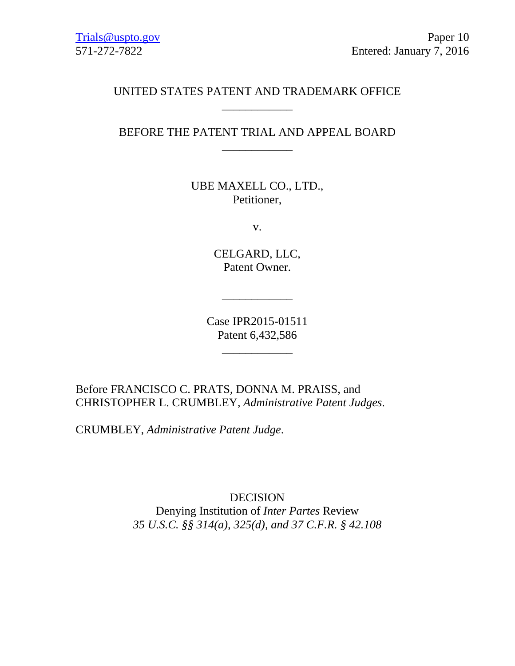## UNITED STATES PATENT AND TRADEMARK OFFICE \_\_\_\_\_\_\_\_\_\_\_\_

## BEFORE THE PATENT TRIAL AND APPEAL BOARD \_\_\_\_\_\_\_\_\_\_\_\_

UBE MAXELL CO., LTD., Petitioner,

v.

CELGARD, LLC, Patent Owner.

\_\_\_\_\_\_\_\_\_\_\_\_

Case IPR2015-01511 Patent 6,432,586

\_\_\_\_\_\_\_\_\_\_\_\_

Before FRANCISCO C. PRATS, DONNA M. PRAISS, and CHRISTOPHER L. CRUMBLEY, *Administrative Patent Judges*.

CRUMBLEY, *Administrative Patent Judge*.

DECISION Denying Institution of *Inter Partes* Review *35 U.S.C. §§ 314(a), 325(d), and 37 C.F.R. § 42.108*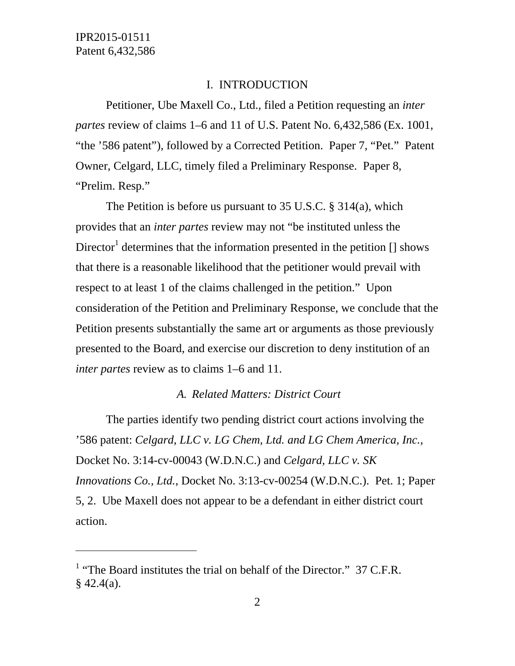$\overline{a}$ 

### I. INTRODUCTION

Petitioner, Ube Maxell Co., Ltd., filed a Petition requesting an *inter partes* review of claims 1–6 and 11 of U.S. Patent No. 6,432,586 (Ex. 1001, "the '586 patent"), followed by a Corrected Petition. Paper 7, "Pet." Patent Owner, Celgard, LLC, timely filed a Preliminary Response. Paper 8, "Prelim. Resp."

The Petition is before us pursuant to 35 U.S.C. § 314(a), which provides that an *inter partes* review may not "be instituted unless the Director<sup>1</sup> determines that the information presented in the petition [] shows that there is a reasonable likelihood that the petitioner would prevail with respect to at least 1 of the claims challenged in the petition." Upon consideration of the Petition and Preliminary Response, we conclude that the Petition presents substantially the same art or arguments as those previously presented to the Board, and exercise our discretion to deny institution of an *inter partes* review as to claims 1–6 and 11.

### *A. Related Matters: District Court*

The parties identify two pending district court actions involving the '586 patent: *Celgard, LLC v. LG Chem, Ltd. and LG Chem America, Inc.*, Docket No. 3:14-cv-00043 (W.D.N.C.) and *Celgard, LLC v. SK Innovations Co., Ltd.*, Docket No. 3:13-cv-00254 (W.D.N.C.). Pet. 1; Paper 5, 2. Ube Maxell does not appear to be a defendant in either district court action.

<sup>&</sup>lt;sup>1</sup> "The Board institutes the trial on behalf of the Director."  $37$  C.F.R.  $§$  42.4(a).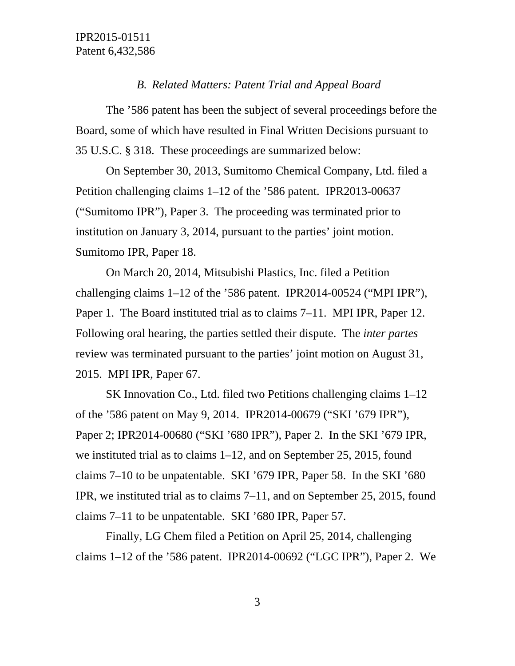### *B. Related Matters: Patent Trial and Appeal Board*

 The '586 patent has been the subject of several proceedings before the Board, some of which have resulted in Final Written Decisions pursuant to 35 U.S.C. § 318. These proceedings are summarized below:

 On September 30, 2013, Sumitomo Chemical Company, Ltd. filed a Petition challenging claims 1–12 of the '586 patent. IPR2013-00637 ("Sumitomo IPR"), Paper 3. The proceeding was terminated prior to institution on January 3, 2014, pursuant to the parties' joint motion. Sumitomo IPR, Paper 18.

 On March 20, 2014, Mitsubishi Plastics, Inc. filed a Petition challenging claims 1–12 of the '586 patent. IPR2014-00524 ("MPI IPR"), Paper 1. The Board instituted trial as to claims 7–11. MPI IPR, Paper 12. Following oral hearing, the parties settled their dispute. The *inter partes* review was terminated pursuant to the parties' joint motion on August 31, 2015. MPI IPR, Paper 67.

 SK Innovation Co., Ltd. filed two Petitions challenging claims 1–12 of the '586 patent on May 9, 2014. IPR2014-00679 ("SKI '679 IPR"), Paper 2; IPR2014-00680 ("SKI '680 IPR"), Paper 2. In the SKI '679 IPR, we instituted trial as to claims 1–12, and on September 25, 2015, found claims 7–10 to be unpatentable. SKI '679 IPR, Paper 58. In the SKI '680 IPR, we instituted trial as to claims 7–11, and on September 25, 2015, found claims 7–11 to be unpatentable. SKI '680 IPR, Paper 57.

 Finally, LG Chem filed a Petition on April 25, 2014, challenging claims 1–12 of the '586 patent. IPR2014-00692 ("LGC IPR"), Paper 2. We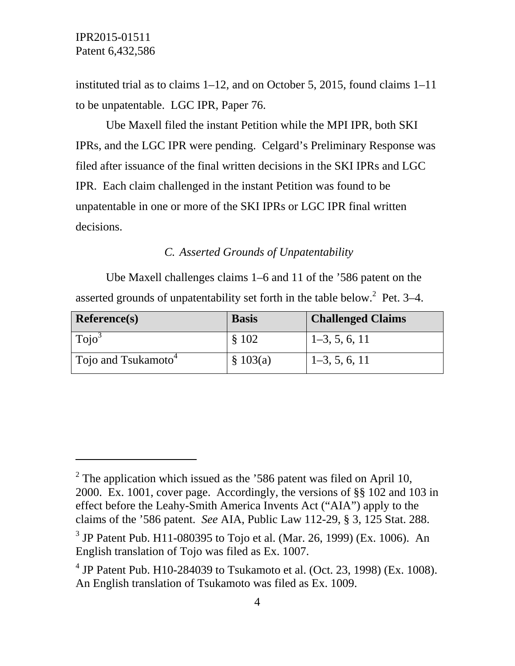l

instituted trial as to claims 1–12, and on October 5, 2015, found claims 1–11 to be unpatentable. LGC IPR, Paper 76.

 Ube Maxell filed the instant Petition while the MPI IPR, both SKI IPRs, and the LGC IPR were pending. Celgard's Preliminary Response was filed after issuance of the final written decisions in the SKI IPRs and LGC IPR. Each claim challenged in the instant Petition was found to be unpatentable in one or more of the SKI IPRs or LGC IPR final written decisions.

# *C. Asserted Grounds of Unpatentability*

 Ube Maxell challenges claims 1–6 and 11 of the '586 patent on the asserted grounds of unpatentability set forth in the table below.<sup>2</sup> Pet. 3–4.

| Reference(s)                    | <b>Basis</b> | <b>Challenged Claims</b> |
|---------------------------------|--------------|--------------------------|
| Toio <sup>3</sup>               | \$102        | $\vert$ 1–3, 5, 6, 11    |
| Tojo and Tsukamoto <sup>+</sup> | \$103(a)     | $1-3, 5, 6, 11$          |

<sup>&</sup>lt;sup>2</sup> The application which issued as the '586 patent was filed on April 10, 2000. Ex. 1001, cover page. Accordingly, the versions of §§ 102 and 103 in effect before the Leahy-Smith America Invents Act ("AIA") apply to the claims of the '586 patent. *See* AIA, Public Law 112-29, § 3, 125 Stat. 288.

<sup>&</sup>lt;sup>3</sup> JP Patent Pub. H11-080395 to Tojo et al. (Mar. 26, 1999) (Ex. 1006). An English translation of Tojo was filed as Ex. 1007.

<sup>&</sup>lt;sup>4</sup> JP Patent Pub. H10-284039 to Tsukamoto et al. (Oct. 23, 1998) (Ex. 1008). An English translation of Tsukamoto was filed as Ex. 1009.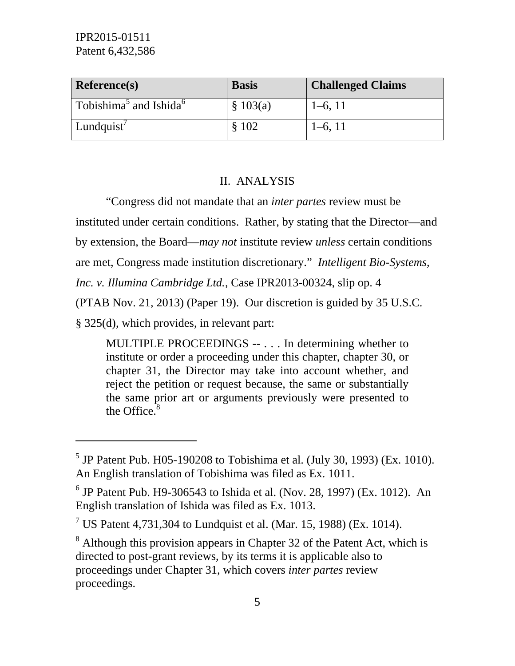$\overline{a}$ 

| Reference(s)                                   | <b>Basis</b> | <b>Challenged Claims</b> |
|------------------------------------------------|--------------|--------------------------|
| Tobishima <sup>3</sup> and Ishida <sup>6</sup> | \$103(a)     | $1-6, 11$                |
| Lundquist'                                     | \$102        | $1-6, 11$                |

### II. ANALYSIS

 "Congress did not mandate that an *inter partes* review must be instituted under certain conditions. Rather, by stating that the Director—and by extension, the Board—*may not* institute review *unless* certain conditions are met, Congress made institution discretionary." *Intelligent Bio-Systems,* 

*Inc. v. Illumina Cambridge Ltd.*, Case IPR2013-00324, slip op. 4

(PTAB Nov. 21, 2013) (Paper 19). Our discretion is guided by 35 U.S.C.

§ 325(d), which provides, in relevant part:

MULTIPLE PROCEEDINGS -- . . . In determining whether to institute or order a proceeding under this chapter, chapter 30, or chapter 31, the Director may take into account whether, and reject the petition or request because, the same or substantially the same prior art or arguments previously were presented to the Office. $8<sup>8</sup>$ 

<sup>&</sup>lt;sup>5</sup> JP Patent Pub. H05-190208 to Tobishima et al. (July 30, 1993) (Ex. 1010). An English translation of Tobishima was filed as Ex. 1011.

<sup>&</sup>lt;sup>6</sup> JP Patent Pub. H9-306543 to Ishida et al. (Nov. 28, 1997) (Ex. 1012). An English translation of Ishida was filed as Ex. 1013.

<sup>&</sup>lt;sup>7</sup> US Patent 4,731,304 to Lundquist et al. (Mar. 15, 1988) (Ex. 1014).

 $8$  Although this provision appears in Chapter 32 of the Patent Act, which is directed to post-grant reviews, by its terms it is applicable also to proceedings under Chapter 31, which covers *inter partes* review proceedings.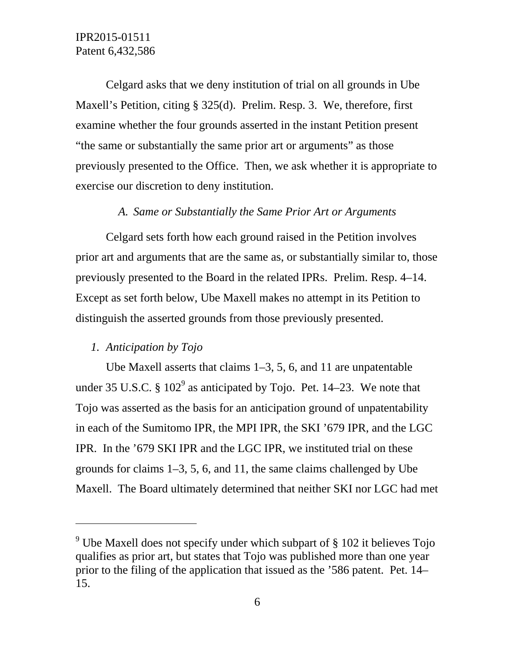Celgard asks that we deny institution of trial on all grounds in Ube Maxell's Petition, citing § 325(d). Prelim. Resp. 3. We, therefore, first examine whether the four grounds asserted in the instant Petition present "the same or substantially the same prior art or arguments" as those previously presented to the Office. Then, we ask whether it is appropriate to exercise our discretion to deny institution.

## *A. Same or Substantially the Same Prior Art or Arguments*

Celgard sets forth how each ground raised in the Petition involves prior art and arguments that are the same as, or substantially similar to, those previously presented to the Board in the related IPRs. Prelim. Resp. 4–14. Except as set forth below, Ube Maxell makes no attempt in its Petition to distinguish the asserted grounds from those previously presented.

### *1. Anticipation by Tojo*

 $\overline{a}$ 

Ube Maxell asserts that claims 1–3, 5, 6, and 11 are unpatentable under 35 U.S.C.  $\S 102^9$  as anticipated by Tojo. Pet. 14–23. We note that Tojo was asserted as the basis for an anticipation ground of unpatentability in each of the Sumitomo IPR, the MPI IPR, the SKI '679 IPR, and the LGC IPR. In the '679 SKI IPR and the LGC IPR, we instituted trial on these grounds for claims 1–3, 5, 6, and 11, the same claims challenged by Ube Maxell. The Board ultimately determined that neither SKI nor LGC had met

<sup>&</sup>lt;sup>9</sup> Ube Maxell does not specify under which subpart of  $\S$  102 it believes Tojo qualifies as prior art, but states that Tojo was published more than one year prior to the filing of the application that issued as the '586 patent. Pet. 14– 15.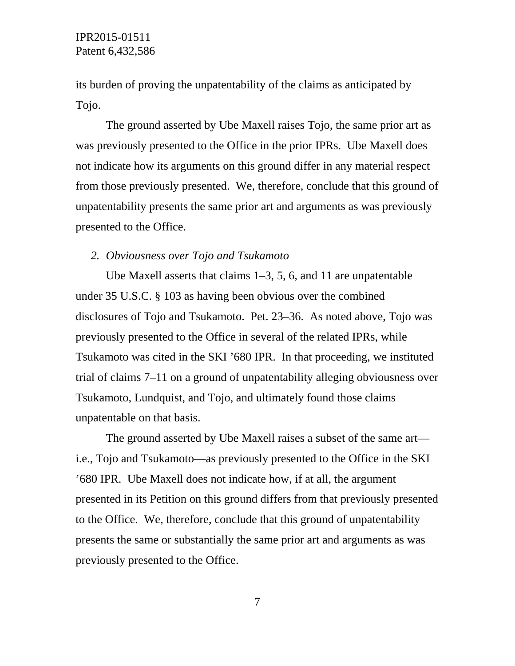its burden of proving the unpatentability of the claims as anticipated by Tojo.

The ground asserted by Ube Maxell raises Tojo, the same prior art as was previously presented to the Office in the prior IPRs. Ube Maxell does not indicate how its arguments on this ground differ in any material respect from those previously presented. We, therefore, conclude that this ground of unpatentability presents the same prior art and arguments as was previously presented to the Office.

### *2. Obviousness over Tojo and Tsukamoto*

Ube Maxell asserts that claims 1–3, 5, 6, and 11 are unpatentable under 35 U.S.C. § 103 as having been obvious over the combined disclosures of Tojo and Tsukamoto. Pet. 23–36. As noted above, Tojo was previously presented to the Office in several of the related IPRs, while Tsukamoto was cited in the SKI '680 IPR. In that proceeding, we instituted trial of claims 7–11 on a ground of unpatentability alleging obviousness over Tsukamoto, Lundquist, and Tojo, and ultimately found those claims unpatentable on that basis.

The ground asserted by Ube Maxell raises a subset of the same art i.e., Tojo and Tsukamoto—as previously presented to the Office in the SKI '680 IPR. Ube Maxell does not indicate how, if at all, the argument presented in its Petition on this ground differs from that previously presented to the Office. We, therefore, conclude that this ground of unpatentability presents the same or substantially the same prior art and arguments as was previously presented to the Office.

7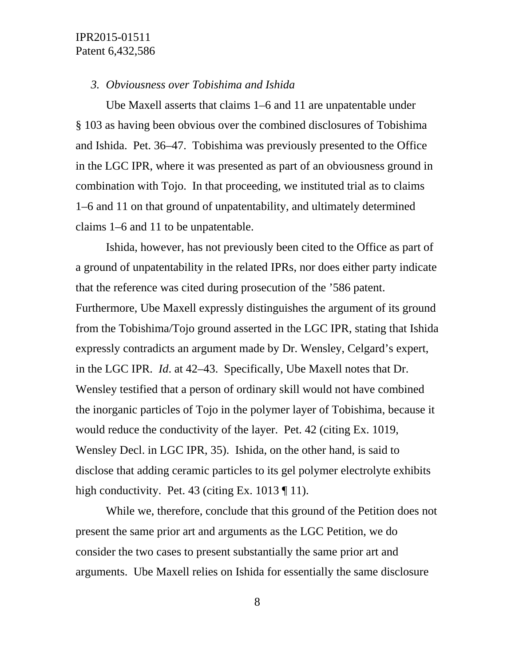#### *3. Obviousness over Tobishima and Ishida*

Ube Maxell asserts that claims 1–6 and 11 are unpatentable under § 103 as having been obvious over the combined disclosures of Tobishima and Ishida. Pet. 36–47. Tobishima was previously presented to the Office in the LGC IPR, where it was presented as part of an obviousness ground in combination with Tojo. In that proceeding, we instituted trial as to claims 1–6 and 11 on that ground of unpatentability, and ultimately determined claims 1–6 and 11 to be unpatentable.

Ishida, however, has not previously been cited to the Office as part of a ground of unpatentability in the related IPRs, nor does either party indicate that the reference was cited during prosecution of the '586 patent. Furthermore, Ube Maxell expressly distinguishes the argument of its ground from the Tobishima/Tojo ground asserted in the LGC IPR, stating that Ishida expressly contradicts an argument made by Dr. Wensley, Celgard's expert, in the LGC IPR. *Id*. at 42–43. Specifically, Ube Maxell notes that Dr. Wensley testified that a person of ordinary skill would not have combined the inorganic particles of Tojo in the polymer layer of Tobishima, because it would reduce the conductivity of the layer. Pet. 42 (citing Ex. 1019, Wensley Decl. in LGC IPR, 35). Ishida, on the other hand, is said to disclose that adding ceramic particles to its gel polymer electrolyte exhibits high conductivity. Pet. 43 (citing Ex. 1013 ¶ 11).

While we, therefore, conclude that this ground of the Petition does not present the same prior art and arguments as the LGC Petition, we do consider the two cases to present substantially the same prior art and arguments. Ube Maxell relies on Ishida for essentially the same disclosure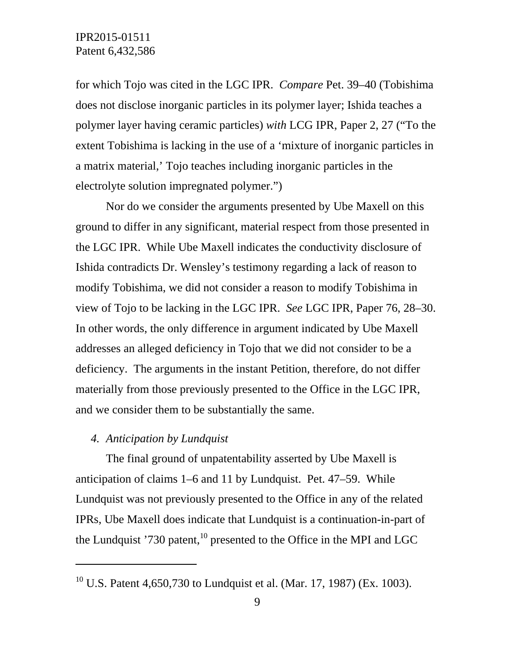for which Tojo was cited in the LGC IPR. *Compare* Pet. 39–40 (Tobishima does not disclose inorganic particles in its polymer layer; Ishida teaches a polymer layer having ceramic particles) *with* LCG IPR, Paper 2, 27 ("To the extent Tobishima is lacking in the use of a 'mixture of inorganic particles in a matrix material,' Tojo teaches including inorganic particles in the electrolyte solution impregnated polymer.")

Nor do we consider the arguments presented by Ube Maxell on this ground to differ in any significant, material respect from those presented in the LGC IPR. While Ube Maxell indicates the conductivity disclosure of Ishida contradicts Dr. Wensley's testimony regarding a lack of reason to modify Tobishima, we did not consider a reason to modify Tobishima in view of Tojo to be lacking in the LGC IPR. *See* LGC IPR, Paper 76, 28–30. In other words, the only difference in argument indicated by Ube Maxell addresses an alleged deficiency in Tojo that we did not consider to be a deficiency. The arguments in the instant Petition, therefore, do not differ materially from those previously presented to the Office in the LGC IPR, and we consider them to be substantially the same.

### *4. Anticipation by Lundquist*

-

The final ground of unpatentability asserted by Ube Maxell is anticipation of claims 1–6 and 11 by Lundquist. Pet. 47–59. While Lundquist was not previously presented to the Office in any of the related IPRs, Ube Maxell does indicate that Lundquist is a continuation-in-part of the Lundquist '730 patent, $^{10}$  presented to the Office in the MPI and LGC

<sup>&</sup>lt;sup>10</sup> U.S. Patent 4,650,730 to Lundquist et al. (Mar. 17, 1987) (Ex. 1003).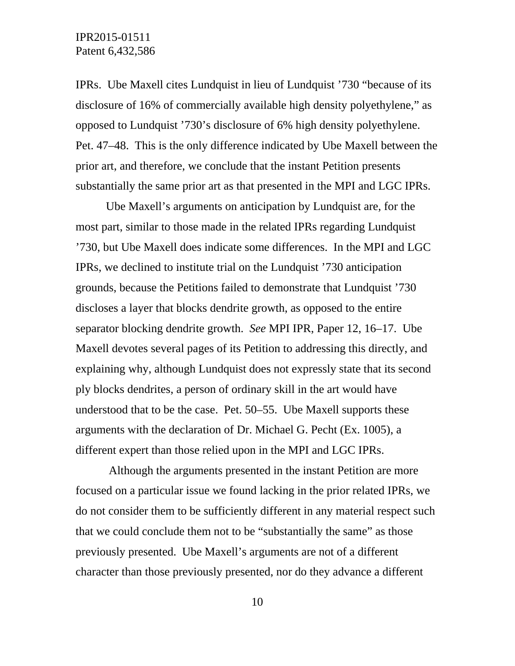IPRs. Ube Maxell cites Lundquist in lieu of Lundquist '730 "because of its disclosure of 16% of commercially available high density polyethylene," as opposed to Lundquist '730's disclosure of 6% high density polyethylene. Pet. 47–48. This is the only difference indicated by Ube Maxell between the prior art, and therefore, we conclude that the instant Petition presents substantially the same prior art as that presented in the MPI and LGC IPRs.

Ube Maxell's arguments on anticipation by Lundquist are, for the most part, similar to those made in the related IPRs regarding Lundquist '730, but Ube Maxell does indicate some differences. In the MPI and LGC IPRs, we declined to institute trial on the Lundquist '730 anticipation grounds, because the Petitions failed to demonstrate that Lundquist '730 discloses a layer that blocks dendrite growth, as opposed to the entire separator blocking dendrite growth. *See* MPI IPR, Paper 12, 16–17. Ube Maxell devotes several pages of its Petition to addressing this directly, and explaining why, although Lundquist does not expressly state that its second ply blocks dendrites, a person of ordinary skill in the art would have understood that to be the case. Pet. 50–55. Ube Maxell supports these arguments with the declaration of Dr. Michael G. Pecht (Ex. 1005), a different expert than those relied upon in the MPI and LGC IPRs.

 Although the arguments presented in the instant Petition are more focused on a particular issue we found lacking in the prior related IPRs, we do not consider them to be sufficiently different in any material respect such that we could conclude them not to be "substantially the same" as those previously presented. Ube Maxell's arguments are not of a different character than those previously presented, nor do they advance a different

10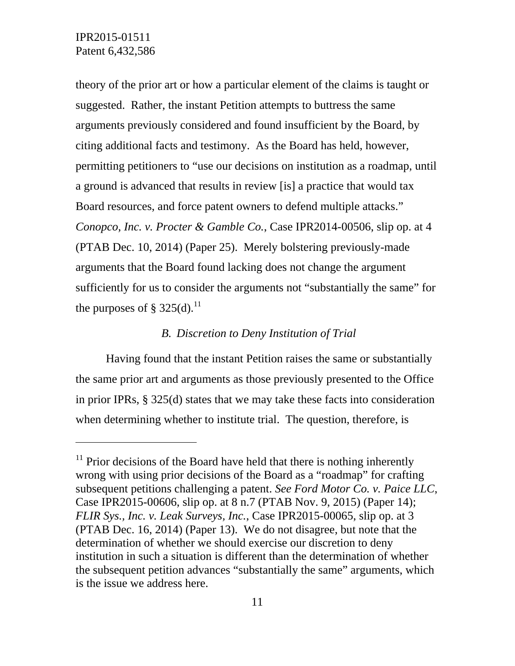$\overline{a}$ 

theory of the prior art or how a particular element of the claims is taught or suggested. Rather, the instant Petition attempts to buttress the same arguments previously considered and found insufficient by the Board, by citing additional facts and testimony. As the Board has held, however, permitting petitioners to "use our decisions on institution as a roadmap, until a ground is advanced that results in review [is] a practice that would tax Board resources, and force patent owners to defend multiple attacks." *Conopco, Inc. v. Procter & Gamble Co.*, Case IPR2014-00506, slip op. at 4 (PTAB Dec. 10, 2014) (Paper 25). Merely bolstering previously-made arguments that the Board found lacking does not change the argument sufficiently for us to consider the arguments not "substantially the same" for the purposes of § 325(d).<sup>11</sup>

### *B. Discretion to Deny Institution of Trial*

 Having found that the instant Petition raises the same or substantially the same prior art and arguments as those previously presented to the Office in prior IPRs, § 325(d) states that we may take these facts into consideration when determining whether to institute trial. The question, therefore, is

 $11$  Prior decisions of the Board have held that there is nothing inherently wrong with using prior decisions of the Board as a "roadmap" for crafting subsequent petitions challenging a patent. *See Ford Motor Co. v. Paice LLC*, Case IPR2015-00606, slip op. at 8 n.7 (PTAB Nov. 9, 2015) (Paper 14); *FLIR Sys., Inc. v. Leak Surveys, Inc.*, Case IPR2015-00065, slip op. at 3 (PTAB Dec. 16, 2014) (Paper 13). We do not disagree, but note that the determination of whether we should exercise our discretion to deny institution in such a situation is different than the determination of whether the subsequent petition advances "substantially the same" arguments, which is the issue we address here.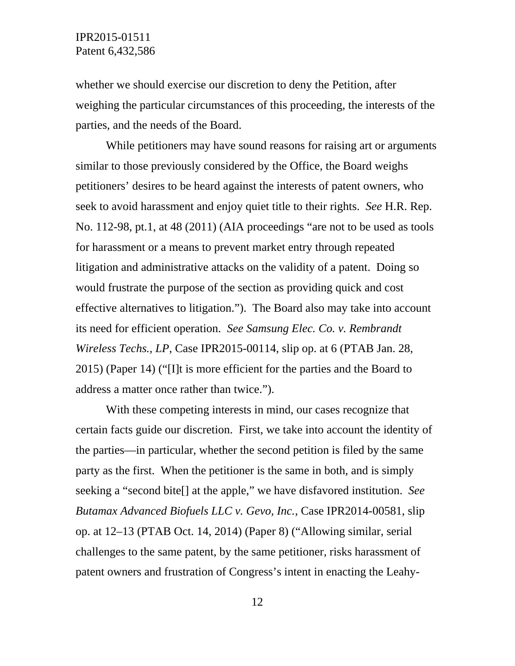whether we should exercise our discretion to deny the Petition, after weighing the particular circumstances of this proceeding, the interests of the parties, and the needs of the Board.

While petitioners may have sound reasons for raising art or arguments similar to those previously considered by the Office, the Board weighs petitioners' desires to be heard against the interests of patent owners, who seek to avoid harassment and enjoy quiet title to their rights. *See* H.R. Rep. No. 112-98, pt.1, at 48 (2011) (AIA proceedings "are not to be used as tools for harassment or a means to prevent market entry through repeated litigation and administrative attacks on the validity of a patent. Doing so would frustrate the purpose of the section as providing quick and cost effective alternatives to litigation."). The Board also may take into account its need for efficient operation. *See Samsung Elec. Co. v. Rembrandt Wireless Techs., LP*, Case IPR2015-00114, slip op. at 6 (PTAB Jan. 28, 2015) (Paper 14) ("[I]t is more efficient for the parties and the Board to address a matter once rather than twice.").

With these competing interests in mind, our cases recognize that certain facts guide our discretion. First, we take into account the identity of the parties—in particular, whether the second petition is filed by the same party as the first. When the petitioner is the same in both, and is simply seeking a "second bite[] at the apple," we have disfavored institution. *See Butamax Advanced Biofuels LLC v. Gevo, Inc.*, Case IPR2014-00581, slip op. at 12–13 (PTAB Oct. 14, 2014) (Paper 8) ("Allowing similar, serial challenges to the same patent, by the same petitioner, risks harassment of patent owners and frustration of Congress's intent in enacting the Leahy-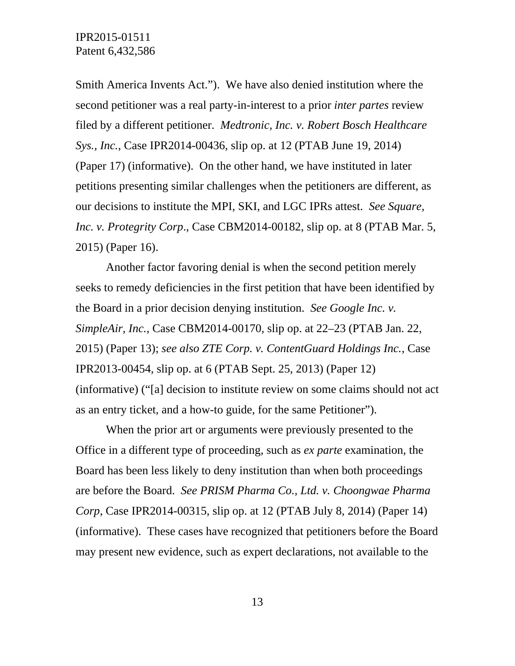Smith America Invents Act."). We have also denied institution where the second petitioner was a real party-in-interest to a prior *inter partes* review filed by a different petitioner. *Medtronic, Inc. v. Robert Bosch Healthcare Sys., Inc.*, Case IPR2014-00436, slip op. at 12 (PTAB June 19, 2014) (Paper 17) (informative). On the other hand, we have instituted in later petitions presenting similar challenges when the petitioners are different, as our decisions to institute the MPI, SKI, and LGC IPRs attest. *See Square, Inc. v. Protegrity Corp*., Case CBM2014-00182, slip op. at 8 (PTAB Mar. 5, 2015) (Paper 16).

Another factor favoring denial is when the second petition merely seeks to remedy deficiencies in the first petition that have been identified by the Board in a prior decision denying institution. *See Google Inc. v. SimpleAir, Inc.*, Case CBM2014-00170, slip op. at 22–23 (PTAB Jan. 22, 2015) (Paper 13); *see also ZTE Corp. v. ContentGuard Holdings Inc.*, Case IPR2013-00454, slip op. at 6 (PTAB Sept. 25, 2013) (Paper 12) (informative) ("[a] decision to institute review on some claims should not act as an entry ticket, and a how-to guide, for the same Petitioner").

When the prior art or arguments were previously presented to the Office in a different type of proceeding, such as *ex parte* examination, the Board has been less likely to deny institution than when both proceedings are before the Board. *See PRISM Pharma Co., Ltd. v. Choongwae Pharma Corp*, Case IPR2014-00315, slip op. at 12 (PTAB July 8, 2014) (Paper 14) (informative). These cases have recognized that petitioners before the Board may present new evidence, such as expert declarations, not available to the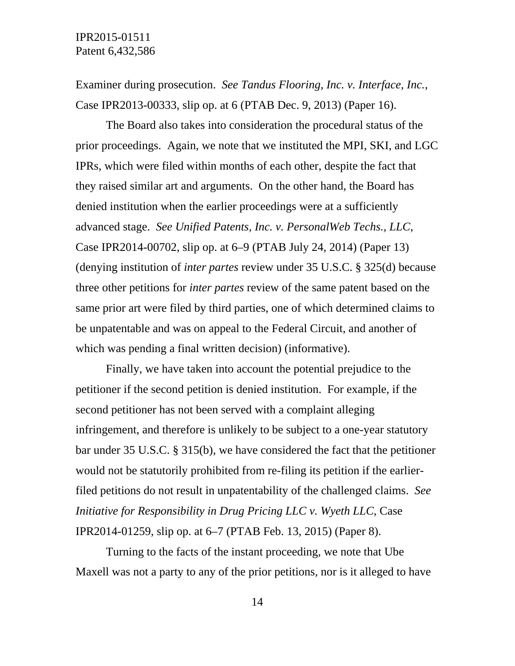Examiner during prosecution. *See Tandus Flooring, Inc. v. Interface, Inc.*, Case IPR2013-00333, slip op. at 6 (PTAB Dec. 9, 2013) (Paper 16).

The Board also takes into consideration the procedural status of the prior proceedings. Again, we note that we instituted the MPI, SKI, and LGC IPRs, which were filed within months of each other, despite the fact that they raised similar art and arguments. On the other hand, the Board has denied institution when the earlier proceedings were at a sufficiently advanced stage. *See Unified Patents, Inc. v. PersonalWeb Techs., LLC*, Case IPR2014-00702, slip op. at 6–9 (PTAB July 24, 2014) (Paper 13) (denying institution of *inter partes* review under 35 U.S.C. § 325(d) because three other petitions for *inter partes* review of the same patent based on the same prior art were filed by third parties, one of which determined claims to be unpatentable and was on appeal to the Federal Circuit, and another of which was pending a final written decision) (informative).

Finally, we have taken into account the potential prejudice to the petitioner if the second petition is denied institution. For example, if the second petitioner has not been served with a complaint alleging infringement, and therefore is unlikely to be subject to a one-year statutory bar under 35 U.S.C. § 315(b), we have considered the fact that the petitioner would not be statutorily prohibited from re-filing its petition if the earlierfiled petitions do not result in unpatentability of the challenged claims. *See Initiative for Responsibility in Drug Pricing LLC v. Wyeth LLC*, Case IPR2014-01259, slip op. at 6–7 (PTAB Feb. 13, 2015) (Paper 8).

Turning to the facts of the instant proceeding, we note that Ube Maxell was not a party to any of the prior petitions, nor is it alleged to have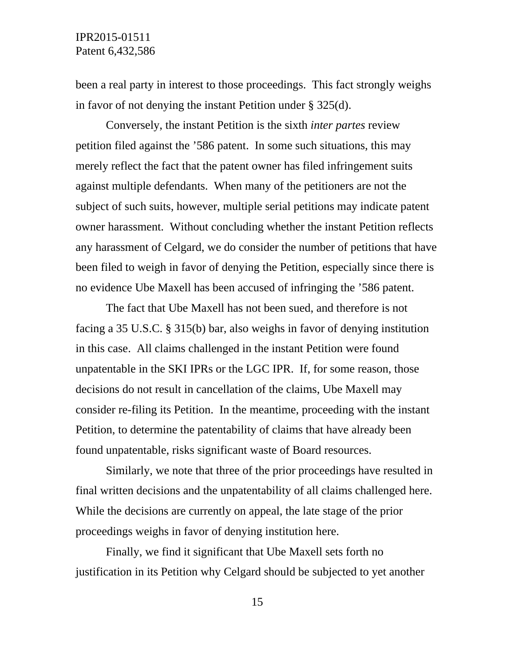been a real party in interest to those proceedings. This fact strongly weighs in favor of not denying the instant Petition under § 325(d).

Conversely, the instant Petition is the sixth *inter partes* review petition filed against the '586 patent. In some such situations, this may merely reflect the fact that the patent owner has filed infringement suits against multiple defendants. When many of the petitioners are not the subject of such suits, however, multiple serial petitions may indicate patent owner harassment. Without concluding whether the instant Petition reflects any harassment of Celgard, we do consider the number of petitions that have been filed to weigh in favor of denying the Petition, especially since there is no evidence Ube Maxell has been accused of infringing the '586 patent.

The fact that Ube Maxell has not been sued, and therefore is not facing a 35 U.S.C. § 315(b) bar, also weighs in favor of denying institution in this case. All claims challenged in the instant Petition were found unpatentable in the SKI IPRs or the LGC IPR. If, for some reason, those decisions do not result in cancellation of the claims, Ube Maxell may consider re-filing its Petition. In the meantime, proceeding with the instant Petition, to determine the patentability of claims that have already been found unpatentable, risks significant waste of Board resources.

Similarly, we note that three of the prior proceedings have resulted in final written decisions and the unpatentability of all claims challenged here. While the decisions are currently on appeal, the late stage of the prior proceedings weighs in favor of denying institution here.

Finally, we find it significant that Ube Maxell sets forth no justification in its Petition why Celgard should be subjected to yet another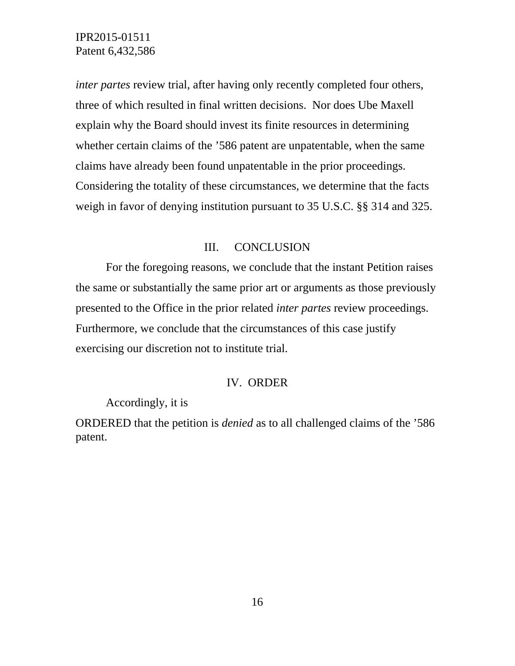*inter partes* review trial, after having only recently completed four others, three of which resulted in final written decisions. Nor does Ube Maxell explain why the Board should invest its finite resources in determining whether certain claims of the '586 patent are unpatentable, when the same claims have already been found unpatentable in the prior proceedings. Considering the totality of these circumstances, we determine that the facts weigh in favor of denying institution pursuant to 35 U.S.C. §§ 314 and 325.

### III. CONCLUSION

For the foregoing reasons, we conclude that the instant Petition raises the same or substantially the same prior art or arguments as those previously presented to the Office in the prior related *inter partes* review proceedings. Furthermore, we conclude that the circumstances of this case justify exercising our discretion not to institute trial.

#### IV. ORDER

Accordingly, it is

ORDERED that the petition is *denied* as to all challenged claims of the '586 patent.